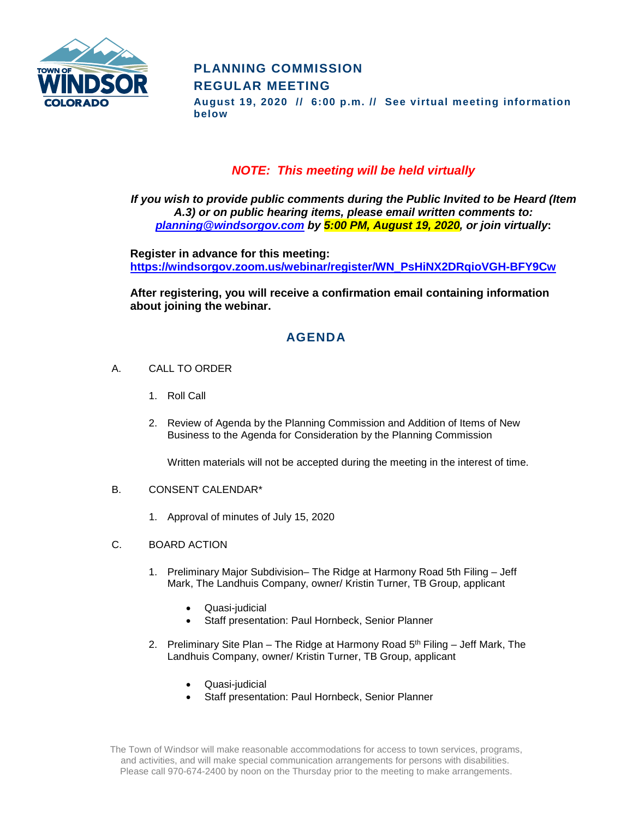

# **PLANNING COMMISSION REGULAR MEETING**

**August 19, 2020 // 6:00 p.m. // See virtual meeting information below**

### *NOTE: This meeting will be held virtually*

*If you wish to provide public comments during the Public Invited to be Heard (Item A.3) or on public hearing items, please email written comments to: [planning@windsorgov.com](mailto:planning@windsorgov.com) by 5:00 PM, August 19, 2020, or join virtually***:**

**Register in advance for this meeting: https://windsorgov.zoom.us/webinar/register/WN\_PsHiNX2DRqioVGH-BFY9Cw**

**After registering, you will receive a confirmation email containing information about joining the webinar.**

# **AGENDA**

- A. CALL TO ORDER
	- 1. Roll Call
	- 2. Review of Agenda by the Planning Commission and Addition of Items of New Business to the Agenda for Consideration by the Planning Commission

Written materials will not be accepted during the meeting in the interest of time.

#### B. CONSENT CALENDAR\*

- 1. Approval of minutes of July 15, 2020
- C. BOARD ACTION
	- 1. Preliminary Major Subdivision– The Ridge at Harmony Road 5th Filing Jeff Mark, The Landhuis Company, owner/ Kristin Turner, TB Group, applicant
		- Quasi-judicial
		- Staff presentation: Paul Hornbeck, Senior Planner
	- 2. Preliminary Site Plan The Ridge at Harmony Road  $5<sup>th</sup>$  Filing Jeff Mark, The Landhuis Company, owner/ Kristin Turner, TB Group, applicant
		- Quasi-judicial
		- Staff presentation: Paul Hornbeck, Senior Planner

The Town of Windsor will make reasonable accommodations for access to town services, programs, and activities, and will make special communication arrangements for persons with disabilities. Please call 970-674-2400 by noon on the Thursday prior to the meeting to make arrangements.